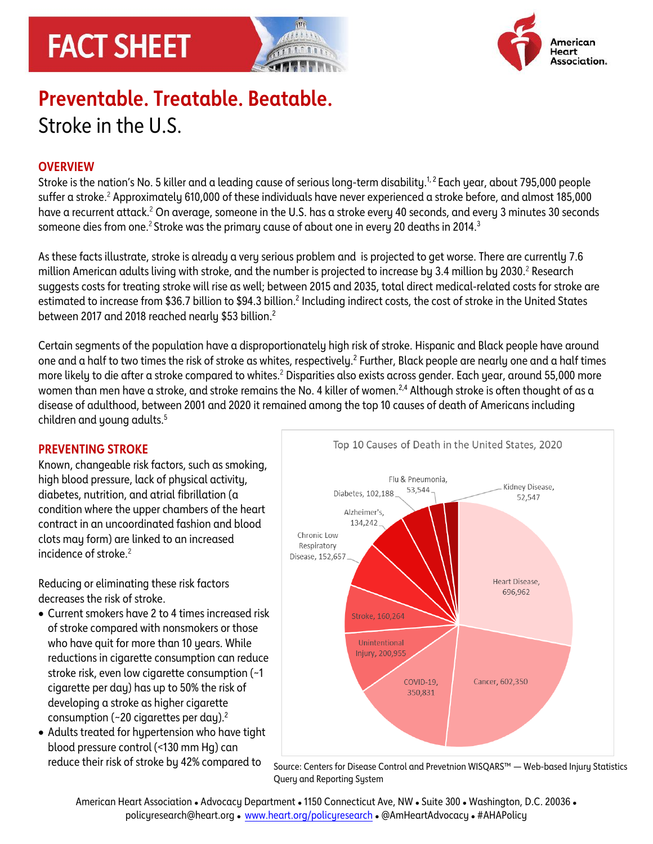# **FACT SHEET**





# **Preventable. Treatable. Beatable.** Stroke in the U.S.

# **OVERVIEW**

Stroke is the nation's No. 5 killer and a leading cause of serious long-term disability.<sup>1,2</sup> Each year, about 795,000 people suffer a stroke.<sup>2</sup> Approximately 610,000 of these individuals have never experienced a stroke before, and almost 185,000 have a recurrent attack.<sup>2</sup> On average, someone in the U.S. has a stroke every 40 seconds, and every 3 minutes 30 seconds someone dies from one. $^2$  Stroke was the primary cause of about one in every 20 deaths in 2014. $^3$ 

As these facts illustrate, stroke is already a very serious problem and is projected to get worse. There are currently 7.6 million American adults living with stroke, and the number is projected to increase by 3.4 million by 2030.<sup>2</sup> Research suggests costs for treating stroke will rise as well; between 2015 and 2035, total direct medical-related costs for stroke are estimated to increase from \$36.7 billion to \$94.3 billion.<sup>2</sup> Including indirect costs, the cost of stroke in the United States between 2017 and 2018 reached nearly \$53 billion.<sup>2</sup>

Certain segments of the population have a disproportionately high risk of stroke. Hispanic and Black people have around one and a half to two times the risk of stroke as whites, respectively. $^2$  Further, Black people are nearly one and a half times more likely to die after a stroke compared to whites.<sup>2</sup> Disparities also exists across gender. Each year, around 55,000 more women than men have a stroke, and stroke remains the No. 4 killer of women.<sup>2,4</sup> Although stroke is often thought of as a disease of adulthood, between 2001 and 2020 it remained among the top 10 causes of death of Americans including children and young adults. 5

## **PREVENTING STROKE**

Known, changeable risk factors, such as smoking, high blood pressure, lack of physical activity, diabetes, nutrition, and atrial fibrillation (a condition where the upper chambers of the heart contract in an uncoordinated fashion and blood clots may form) are linked to an increased incidence of stroke.<sup>2</sup>

Reducing or eliminating these risk factors decreases the risk of stroke.

- Current smokers have 2 to 4 times increased risk of stroke compared with nonsmokers or those who have quit for more than 10 years. While reductions in cigarette consumption can reduce stroke risk, even low cigarette consumption (~1 cigarette per day) has up to 50% the risk of developing a stroke as higher cigarette consumption ( $\sim$ 20 cigarettes per day).<sup>2</sup>
- Adults treated for hypertension who have tight blood pressure control (<130 mm Hg) can



reduce their risk of stroke by 42% compared to <sub>Source:</sub> Centers for Disease Control and Prevetnion WISQARS™ — Web-based Injury Statistics Query and Reporting System

American Heart Association ⚫ Advocacy Department ⚫ 1150 Connecticut Ave, NW ⚫ Suite 300 ⚫ Washington, D.C. 20036 ⚫ policyresearch@heart.org ⚫ www.heart.org/policyresearch ⚫ @AmHeartAdvocacy ⚫ #AHAPolicy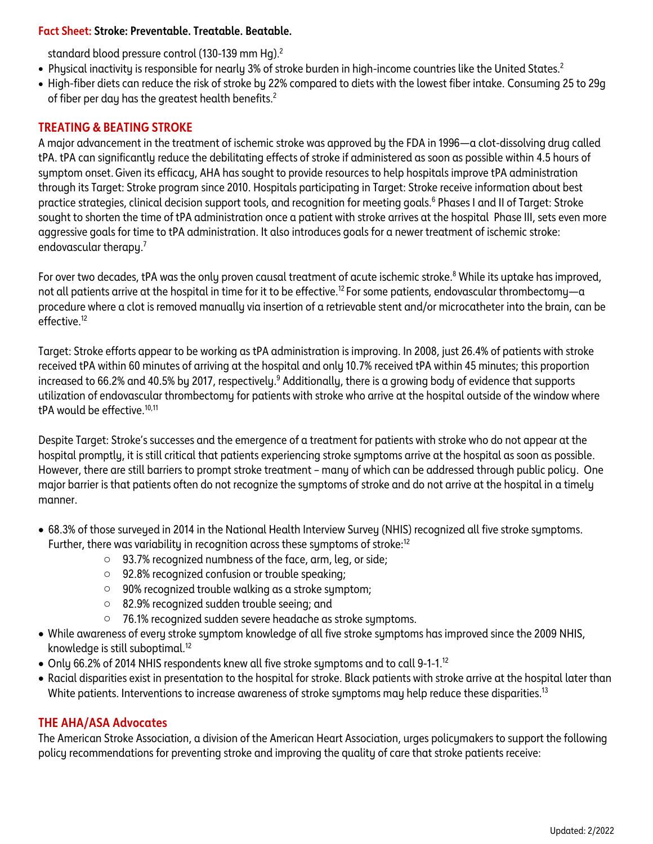#### **Fact Sheet: Stroke: Preventable. Treatable. Beatable.**

standard blood pressure control (130-139 mm Hg). $^2$ 

- Physical inactivity is responsible for nearly 3% of stroke burden in high-income countries like the United States. 2
- High-fiber diets can reduce the risk of stroke by 22% compared to diets with the lowest fiber intake. Consuming 25 to 29g of fiber per day has the greatest health benefits.<sup>2</sup>

# **TREATING & BEATING STROKE**

A major advancement in the treatment of ischemic stroke was approved by the FDA in 1996—a clot-dissolving drug called tPA. tPA can significantly reduce the debilitating effects of stroke if administered as soon as possible within 4.5 hours of symptom onset.Given its efficacy, AHA has sought to provide resources to help hospitals improve tPA administration through its Target: Stroke program since 2010. Hospitals participating in Target: Stroke receive information about best practice strategies, clinical decision support tools, and recognition for meeting goals.<sup>6</sup> Phases I and II of Target: Stroke sought to shorten the time of tPA administration once a patient with stroke arrives at the hospital Phase III, sets even more aggressive goals for time to tPA administration. It also introduces goals for a newer treatment of ischemic stroke: endovascular therapy. 7

For over two decades, tPA was the only proven causal treatment of acute ischemic stroke.<sup>8</sup> While its uptake has improved, not all patients arrive at the hospital in time for it to be effective.<sup>12</sup> For some patients, endovascular thrombectomy—a procedure where a clot is removed manually via insertion of a retrievable stent and/or microcatheter into the brain, can be effective<sup>12</sup>

Target: Stroke efforts appear to be working as tPA administration is improving. In 2008, just 26.4% of patients with stroke received tPA within 60 minutes of arriving at the hospital and only 10.7% received tPA within 45 minutes; this proportion increased to 66.2% and 40.5% by 2017, respectively.<sup>9</sup> Additionally, there is a growing body of evidence that supports utilization of endovascular thrombectomy for patients with stroke who arrive at the hospital outside of the window where tPA would be effective.<sup>10,11</sup>

Despite Target: Stroke's successes and the emergence of a treatment for patients with stroke who do not appear at the hospital promptly, it is still critical that patients experiencing stroke symptoms arrive at the hospital as soon as possible. However, there are still barriers to prompt stroke treatment – many of which can be addressed through public policy. One major barrier is that patients often do not recognize the symptoms of stroke and do not arrive at the hospital in a timely manner.

- 68.3% of those surveyed in 2014 in the National Health Interview Survey (NHIS) recognized all five stroke symptoms. Further, there was variability in recognition across these symptoms of stroke:<sup>12</sup>
	- o 93.7% recognized numbness of the face, arm, leg, or side;
	- o 92.8% recognized confusion or trouble speaking;
	- o 90% recognized trouble walking as a stroke symptom;
	- o 82.9% recognized sudden trouble seeing; and
	- o 76.1% recognized sudden severe headache as stroke symptoms.
- While awareness of every stroke symptom knowledge of all five stroke symptoms has improved since the 2009 NHIS, knowledge is still suboptimal.<sup>12</sup>
- Only 66.2% of 2014 NHIS respondents knew all five stroke symptoms and to call 9-1-1.<sup>12</sup>
- Racial disparities exist in presentation to the hospital for stroke. Black patients with stroke arrive at the hospital later than White patients. Interventions to increase awareness of stroke symptoms may help reduce these disparities.<sup>13</sup>

## **THE AHA/ASA Advocates**

The American Stroke Association, a division of the American Heart Association, urges policymakers to support the following policy recommendations for preventing stroke and improving the quality of care that stroke patients receive: